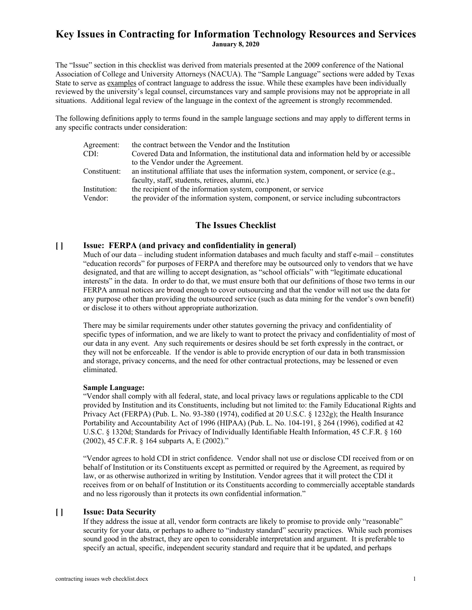The "Issue" section in this checklist was derived from materials presented at the 2009 conference of the National Association of College and University Attorneys (NACUA). The "Sample Language" sections were added by Texas State to serve as examples of contract language to address the issue. While these examples have been individually reviewed by the university's legal counsel, circumstances vary and sample provisions may not be appropriate in all situations. Additional legal review of the language in the context of the agreement is strongly recommended.

The following definitions apply to terms found in the sample language sections and may apply to different terms in any specific contracts under consideration:

| Agreement:   | the contract between the Vendor and the Institution                                          |
|--------------|----------------------------------------------------------------------------------------------|
| CDI:-        | Covered Data and Information, the institutional data and information held by or accessible   |
|              | to the Vendor under the Agreement.                                                           |
| Constituent: | an institutional affiliate that uses the information system, component, or service $(e.g.,)$ |
|              | faculty, staff, students, retirees, alumni, etc.)                                            |
| Institution: | the recipient of the information system, component, or service                               |
| Vendor:      | the provider of the information system, component, or service including subcontractors       |

## **The Issues Checklist**

### **[ ] Issue: FERPA (and privacy and confidentiality in general)**

Much of our data – including student information databases and much faculty and staff e-mail – constitutes "education records" for purposes of FERPA and therefore may be outsourced only to vendors that we have designated, and that are willing to accept designation, as "school officials" with "legitimate educational interests" in the data. In order to do that, we must ensure both that our definitions of those two terms in our FERPA annual notices are broad enough to cover outsourcing and that the vendor will not use the data for any purpose other than providing the outsourced service (such as data mining for the vendor's own benefit) or disclose it to others without appropriate authorization.

There may be similar requirements under other statutes governing the privacy and confidentiality of specific types of information, and we are likely to want to protect the privacy and confidentiality of most of our data in any event. Any such requirements or desires should be set forth expressly in the contract, or they will not be enforceable. If the vendor is able to provide encryption of our data in both transmission and storage, privacy concerns, and the need for other contractual protections, may be lessened or even eliminated.

#### **Sample Language:**

"Vendor shall comply with all federal, state, and local privacy laws or regulations applicable to the CDI provided by Institution and its Constituents, including but not limited to: the Family Educational Rights and Privacy Act (FERPA) (Pub. L. No. 93-380 (1974), codified at 20 U.S.C. § 1232g); the Health Insurance Portability and Accountability Act of 1996 (HIPAA) (Pub. L. No. 104-191, § 264 (1996), codified at 42 U.S.C. § 1320d; Standards for Privacy of Individually Identifiable Health Information, 45 C.F.R. § 160 (2002), 45 C.F.R. § 164 subparts A, E (2002)."

"Vendor agrees to hold CDI in strict confidence. Vendor shall not use or disclose CDI received from or on behalf of Institution or its Constituents except as permitted or required by the Agreement, as required by law, or as otherwise authorized in writing by Institution. Vendor agrees that it will protect the CDI it receives from or on behalf of Institution or its Constituents according to commercially acceptable standards and no less rigorously than it protects its own confidential information."

#### **[ ] Issue: Data Security**

If they address the issue at all, vendor form contracts are likely to promise to provide only "reasonable" security for your data, or perhaps to adhere to "industry standard" security practices. While such promises sound good in the abstract, they are open to considerable interpretation and argument. It is preferable to specify an actual, specific, independent security standard and require that it be updated, and perhaps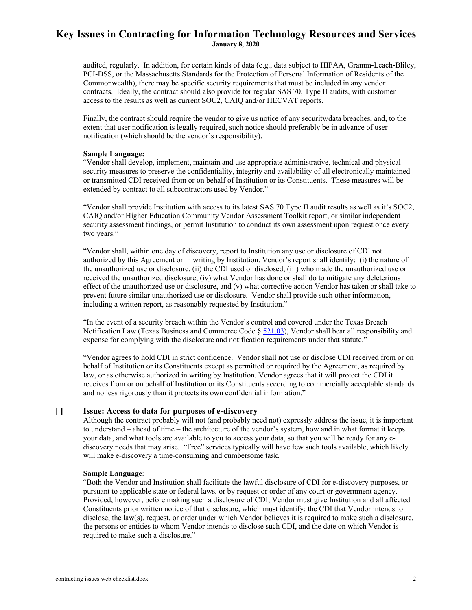audited, regularly. In addition, for certain kinds of data (e.g., data subject to HIPAA, Gramm-Leach-Bliley, PCI-DSS, or the Massachusetts Standards for the Protection of Personal Information of Residents of the Commonwealth), there may be specific security requirements that must be included in any vendor contracts. Ideally, the contract should also provide for regular SAS 70, Type II audits, with customer access to the results as well as current SOC2, CAIQ and/or HECVAT reports.

Finally, the contract should require the vendor to give us notice of any security/data breaches, and, to the extent that user notification is legally required, such notice should preferably be in advance of user notification (which should be the vendor's responsibility).

#### **Sample Language:**

"Vendor shall develop, implement, maintain and use appropriate administrative, technical and physical security measures to preserve the confidentiality, integrity and availability of all electronically maintained or transmitted CDI received from or on behalf of Institution or its Constituents. These measures will be extended by contract to all subcontractors used by Vendor."

"Vendor shall provide Institution with access to its latest SAS 70 Type II audit results as well as it's SOC2, CAIQ and/or Higher Education Community Vendor Assessment Toolkit report, or similar independent security assessment findings, or permit Institution to conduct its own assessment upon request once every two years."

"Vendor shall, within one day of discovery, report to Institution any use or disclosure of CDI not authorized by this Agreement or in writing by Institution. Vendor's report shall identify: (i) the nature of the unauthorized use or disclosure, (ii) the CDI used or disclosed, (iii) who made the unauthorized use or received the unauthorized disclosure, (iv) what Vendor has done or shall do to mitigate any deleterious effect of the unauthorized use or disclosure, and (v) what corrective action Vendor has taken or shall take to prevent future similar unauthorized use or disclosure. Vendor shall provide such other information, including a written report, as reasonably requested by Institution."

"In the event of a security breach within the Vendor's control and covered under the Texas Breach Notification Law (Texas Business and Commerce Code  $\S$  521.03), Vendor shall bear all responsibility and expense for complying with the disclosure and notification requirements under that statute."

"Vendor agrees to hold CDI in strict confidence. Vendor shall not use or disclose CDI received from or on behalf of Institution or its Constituents except as permitted or required by the Agreement, as required by law, or as otherwise authorized in writing by Institution. Vendor agrees that it will protect the CDI it receives from or on behalf of Institution or its Constituents according to commercially acceptable standards and no less rigorously than it protects its own confidential information."

## **[ ] Issue: Access to data for purposes of e-discovery**

Although the contract probably will not (and probably need not) expressly address the issue, it is important to understand – ahead of time – the architecture of the vendor's system, how and in what format it keeps your data, and what tools are available to you to access your data, so that you will be ready for any ediscovery needs that may arise. "Free" services typically will have few such tools available, which likely will make e-discovery a time-consuming and cumbersome task.

#### **Sample Language**:

"Both the Vendor and Institution shall facilitate the lawful disclosure of CDI for e-discovery purposes, or pursuant to applicable state or federal laws, or by request or order of any court or government agency. Provided, however, before making such a disclosure of CDI, Vendor must give Institution and all affected Constituents prior written notice of that disclosure, which must identify: the CDI that Vendor intends to disclose, the law(s), request, or order under which Vendor believes it is required to make such a disclosure, the persons or entities to whom Vendor intends to disclose such CDI, and the date on which Vendor is required to make such a disclosure."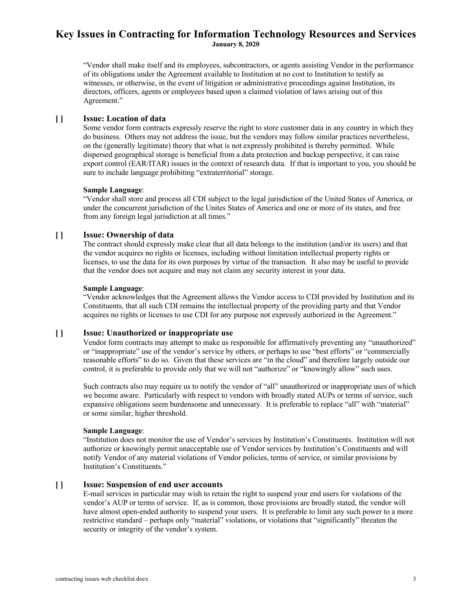"Vendor shall make itself and its employees, subcontractors, or agents assisting Vendor in the performance of its obligations under the Agreement available to Institution at no cost to Institution to testify as witnesses, or otherwise, in the event of litigation or administrative proceedings against Institution, its directors, officers, agents or employees based upon a claimed violation of laws arising out of this Agreement."

## **[ ] Issue: Location of data**

Some vendor form contracts expressly reserve the right to store customer data in any country in which they do business. Others may not address the issue, but the vendors may follow similar practices nevertheless, on the (generally legitimate) theory that what is not expressly prohibited is thereby permitted. While dispersed geographical storage is beneficial from a data protection and backup perspective, it can raise export control (EAR/ITAR) issues in the context of research data. If that is important to you, you should be sure to include language prohibiting "extraterritorial" storage.

#### **Sample Language**:

"Vendor shall store and process all CDI subject to the legal jurisdiction of the United States of America, or under the concurrent jurisdiction of the Unites States of America and one or more of its states, and free from any foreign legal jurisdiction at all times."

### **[ ] Issue: Ownership of data**

The contract should expressly make clear that all data belongs to the institution (and/or its users) and that the vendor acquires no rights or licenses, including without limitation intellectual property rights or licenses, to use the data for its own purposes by virtue of the transaction. It also may be useful to provide that the vendor does not acquire and may not claim any security interest in your data.

#### **Sample Language**:

"Vendor acknowledges that the Agreement allows the Vendor access to CDI provided by Institution and its Constituents, that all such CDI remains the intellectual property of the providing party and that Vendor acquires no rights or licenses to use CDI for any purpose not expressly authorized in the Agreement."

### **[ ] Issue: Unauthorized or inappropriate use**

Vendor form contracts may attempt to make us responsible for affirmatively preventing any "unauthorized" or "inappropriate" use of the vendor's service by others, or perhaps to use "best efforts" or "commercially reasonable efforts" to do so. Given that these services are "in the cloud" and therefore largely outside our control, it is preferable to provide only that we will not "authorize" or "knowingly allow" such uses.

Such contracts also may require us to notify the vendor of "all" unauthorized or inappropriate uses of which we become aware. Particularly with respect to vendors with broadly stated AUPs or terms of service, such expansive obligations seem burdensome and unnecessary. It is preferable to replace "all" with "material" or some similar, higher threshold.

### **Sample Language**:

"Institution does not monitor the use of Vendor's services by Institution's Constituents. Institution will not authorize or knowingly permit unacceptable use of Vendor services by Institution's Constituents and will notify Vendor of any material violations of Vendor policies, terms of service, or similar provisions by Institution's Constituents."

### **[ ] Issue: Suspension of end user accounts**

E-mail services in particular may wish to retain the right to suspend your end users for violations of the vendor's AUP or terms of service. If, as is common, those provisions are broadly stated, the vendor will have almost open-ended authority to suspend your users. It is preferable to limit any such power to a more restrictive standard – perhaps only "material" violations, or violations that "significantly" threaten the security or integrity of the vendor's system.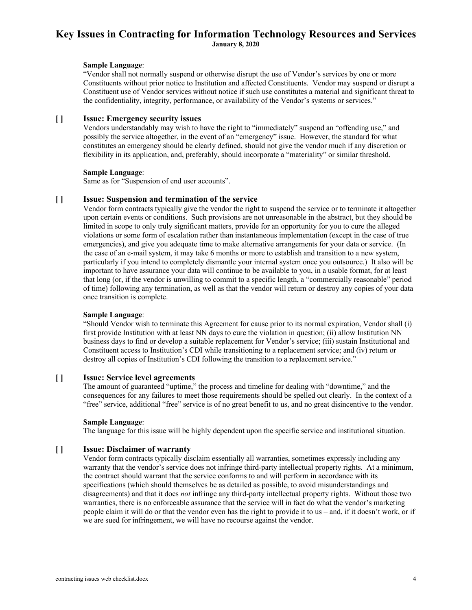#### **Sample Language**:

"Vendor shall not normally suspend or otherwise disrupt the use of Vendor's services by one or more Constituents without prior notice to Institution and affected Constituents. Vendor may suspend or disrupt a Constituent use of Vendor services without notice if such use constitutes a material and significant threat to the confidentiality, integrity, performance, or availability of the Vendor's systems or services."

## **[ ] Issue: Emergency security issues**

Vendors understandably may wish to have the right to "immediately" suspend an "offending use," and possibly the service altogether, in the event of an "emergency" issue. However, the standard for what constitutes an emergency should be clearly defined, should not give the vendor much if any discretion or flexibility in its application, and, preferably, should incorporate a "materiality" or similar threshold.

#### **Sample Language**:

Same as for "Suspension of end user accounts".

### **[ ] Issue: Suspension and termination of the service**

Vendor form contracts typically give the vendor the right to suspend the service or to terminate it altogether upon certain events or conditions. Such provisions are not unreasonable in the abstract, but they should be limited in scope to only truly significant matters, provide for an opportunity for you to cure the alleged violations or some form of escalation rather than instantaneous implementation (except in the case of true emergencies), and give you adequate time to make alternative arrangements for your data or service. (In the case of an e-mail system, it may take 6 months or more to establish and transition to a new system, particularly if you intend to completely dismantle your internal system once you outsource.) It also will be important to have assurance your data will continue to be available to you, in a usable format, for at least that long (or, if the vendor is unwilling to commit to a specific length, a "commercially reasonable" period of time) following any termination, as well as that the vendor will return or destroy any copies of your data once transition is complete.

### **Sample Language**:

"Should Vendor wish to terminate this Agreement for cause prior to its normal expiration, Vendor shall (i) first provide Institution with at least NN days to cure the violation in question; (ii) allow Institution NN business days to find or develop a suitable replacement for Vendor's service; (iii) sustain Institutional and Constituent access to Institution's CDI while transitioning to a replacement service; and (iv) return or destroy all copies of Institution's CDI following the transition to a replacement service."

### **[ ] Issue: Service level agreements**

The amount of guaranteed "uptime," the process and timeline for dealing with "downtime," and the consequences for any failures to meet those requirements should be spelled out clearly. In the context of a "free" service, additional "free" service is of no great benefit to us, and no great disincentive to the vendor.

### **Sample Language**:

The language for this issue will be highly dependent upon the specific service and institutional situation.

## **[ ] Issue: Disclaimer of warranty**

Vendor form contracts typically disclaim essentially all warranties, sometimes expressly including any warranty that the vendor's service does not infringe third-party intellectual property rights. At a minimum, the contract should warrant that the service conforms to and will perform in accordance with its specifications (which should themselves be as detailed as possible, to avoid misunderstandings and disagreements) and that it does *not* infringe any third-party intellectual property rights. Without those two warranties, there is no enforceable assurance that the service will in fact do what the vendor's marketing people claim it will do or that the vendor even has the right to provide it to us – and, if it doesn't work, or if we are sued for infringement, we will have no recourse against the vendor.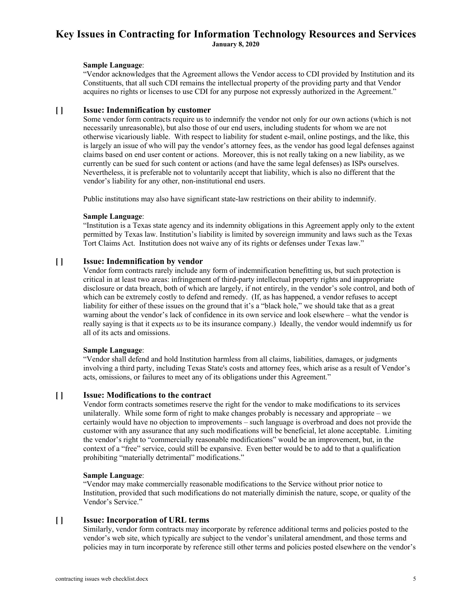#### **Sample Language**:

"Vendor acknowledges that the Agreement allows the Vendor access to CDI provided by Institution and its Constituents, that all such CDI remains the intellectual property of the providing party and that Vendor acquires no rights or licenses to use CDI for any purpose not expressly authorized in the Agreement."

### **[ ] Issue: Indemnification by customer**

Some vendor form contracts require us to indemnify the vendor not only for our own actions (which is not necessarily unreasonable), but also those of our end users, including students for whom we are not otherwise vicariously liable. With respect to liability for student e-mail, online postings, and the like, this is largely an issue of who will pay the vendor's attorney fees, as the vendor has good legal defenses against claims based on end user content or actions. Moreover, this is not really taking on a new liability, as we currently can be sued for such content or actions (and have the same legal defenses) as ISPs ourselves. Nevertheless, it is preferable not to voluntarily accept that liability, which is also no different that the vendor's liability for any other, non-institutional end users.

Public institutions may also have significant state-law restrictions on their ability to indemnify.

### **Sample Language**:

"Institution is a Texas state agency and its indemnity obligations in this Agreement apply only to the extent permitted by Texas law. Institution's liability is limited by sovereign immunity and laws such as the Texas Tort Claims Act. Institution does not waive any of its rights or defenses under Texas law."

## **[ ] Issue: Indemnification by vendor**

Vendor form contracts rarely include any form of indemnification benefitting us, but such protection is critical in at least two areas: infringement of third-party intellectual property rights and inappropriate disclosure or data breach, both of which are largely, if not entirely, in the vendor's sole control, and both of which can be extremely costly to defend and remedy. (If, as has happened, a vendor refuses to accept liability for either of these issues on the ground that it's a "black hole," we should take that as a great warning about the vendor's lack of confidence in its own service and look elsewhere – what the vendor is really saying is that it expects *us* to be its insurance company.) Ideally, the vendor would indemnify us for all of its acts and omissions.

### **Sample Language**:

"Vendor shall defend and hold Institution harmless from all claims, liabilities, damages, or judgments involving a third party, including Texas State's costs and attorney fees, which arise as a result of Vendor's acts, omissions, or failures to meet any of its obligations under this Agreement."

### **[ ] Issue: Modifications to the contract**

Vendor form contracts sometimes reserve the right for the vendor to make modifications to its services unilaterally. While some form of right to make changes probably is necessary and appropriate – we certainly would have no objection to improvements – such language is overbroad and does not provide the customer with any assurance that any such modifications will be beneficial, let alone acceptable. Limiting the vendor's right to "commercially reasonable modifications" would be an improvement, but, in the context of a "free" service, could still be expansive. Even better would be to add to that a qualification prohibiting "materially detrimental" modifications."

### **Sample Language**:

"Vendor may make commercially reasonable modifications to the Service without prior notice to Institution, provided that such modifications do not materially diminish the nature, scope, or quality of the Vendor's Service."

### **[ ] Issue: Incorporation of URL terms**

Similarly, vendor form contracts may incorporate by reference additional terms and policies posted to the vendor's web site, which typically are subject to the vendor's unilateral amendment, and those terms and policies may in turn incorporate by reference still other terms and policies posted elsewhere on the vendor's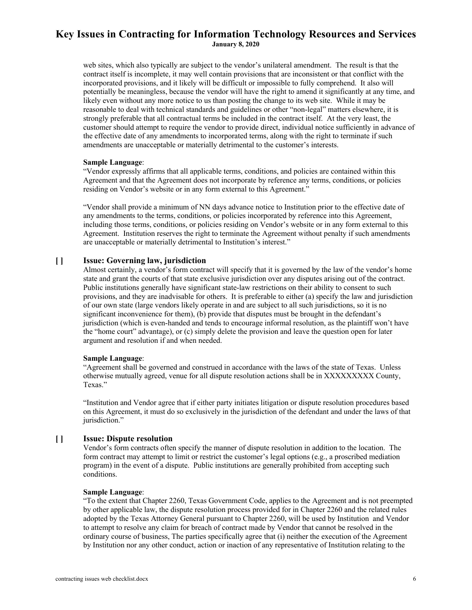web sites, which also typically are subject to the vendor's unilateral amendment. The result is that the contract itself is incomplete, it may well contain provisions that are inconsistent or that conflict with the incorporated provisions, and it likely will be difficult or impossible to fully comprehend. It also will potentially be meaningless, because the vendor will have the right to amend it significantly at any time, and likely even without any more notice to us than posting the change to its web site. While it may be reasonable to deal with technical standards and guidelines or other "non-legal" matters elsewhere, it is strongly preferable that all contractual terms be included in the contract itself. At the very least, the customer should attempt to require the vendor to provide direct, individual notice sufficiently in advance of the effective date of any amendments to incorporated terms, along with the right to terminate if such amendments are unacceptable or materially detrimental to the customer's interests.

#### **Sample Language**:

"Vendor expressly affirms that all applicable terms, conditions, and policies are contained within this Agreement and that the Agreement does not incorporate by reference any terms, conditions, or policies residing on Vendor's website or in any form external to this Agreement."

"Vendor shall provide a minimum of NN days advance notice to Institution prior to the effective date of any amendments to the terms, conditions, or policies incorporated by reference into this Agreement, including those terms, conditions, or policies residing on Vendor's website or in any form external to this Agreement. Institution reserves the right to terminate the Agreement without penalty if such amendments are unacceptable or materially detrimental to Institution's interest."

### **[ ] Issue: Governing law, jurisdiction**

Almost certainly, a vendor's form contract will specify that it is governed by the law of the vendor's home state and grant the courts of that state exclusive jurisdiction over any disputes arising out of the contract. Public institutions generally have significant state-law restrictions on their ability to consent to such provisions, and they are inadvisable for others. It is preferable to either (a) specify the law and jurisdiction of our own state (large vendors likely operate in and are subject to all such jurisdictions, so it is no significant inconvenience for them), (b) provide that disputes must be brought in the defendant's jurisdiction (which is even-handed and tends to encourage informal resolution, as the plaintiff won't have the "home court" advantage), or (c) simply delete the provision and leave the question open for later argument and resolution if and when needed.

#### **Sample Language**:

"Agreement shall be governed and construed in accordance with the laws of the state of Texas. Unless otherwise mutually agreed, venue for all dispute resolution actions shall be in XXXXXXXXX County, Texas."

"Institution and Vendor agree that if either party initiates litigation or dispute resolution procedures based on this Agreement, it must do so exclusively in the jurisdiction of the defendant and under the laws of that jurisdiction."

### **[ ] Issue: Dispute resolution**

Vendor's form contracts often specify the manner of dispute resolution in addition to the location. The form contract may attempt to limit or restrict the customer's legal options (e.g., a proscribed mediation program) in the event of a dispute. Public institutions are generally prohibited from accepting such conditions.

#### **Sample Language**:

"To the extent that Chapter 2260, Texas Government Code, applies to the Agreement and is not preempted by other applicable law, the dispute resolution process provided for in Chapter 2260 and the related rules adopted by the Texas Attorney General pursuant to Chapter 2260, will be used by Institution and Vendor to attempt to resolve any claim for breach of contract made by Vendor that cannot be resolved in the ordinary course of business, The parties specifically agree that (i) neither the execution of the Agreement by Institution nor any other conduct, action or inaction of any representative of Institution relating to the